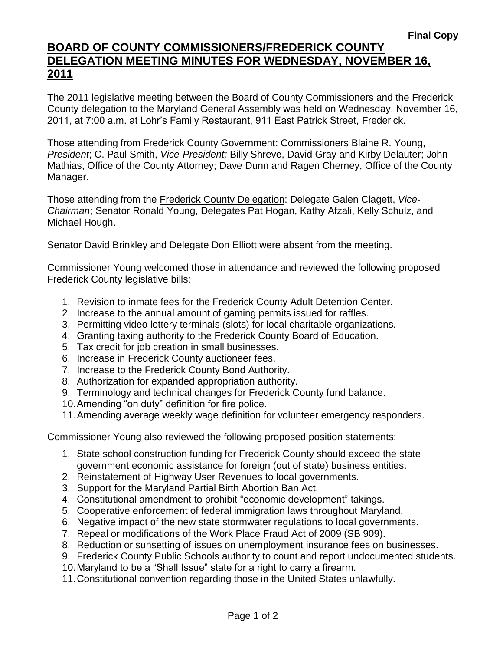## **BOARD OF COUNTY COMMISSIONERS/FREDERICK COUNTY DELEGATION MEETING MINUTES FOR WEDNESDAY, NOVEMBER 16, 2011**

The 2011 legislative meeting between the Board of County Commissioners and the Frederick County delegation to the Maryland General Assembly was held on Wednesday, November 16, 2011, at 7:00 a.m. at Lohr's Family Restaurant, 911 East Patrick Street, Frederick.

Those attending from Frederick County Government: Commissioners Blaine R. Young, *President*; C. Paul Smith, *Vice-President;* Billy Shreve, David Gray and Kirby Delauter; John Mathias, Office of the County Attorney; Dave Dunn and Ragen Cherney, Office of the County Manager.

Those attending from the Frederick County Delegation: Delegate Galen Clagett, *Vice-Chairman*; Senator Ronald Young, Delegates Pat Hogan, Kathy Afzali, Kelly Schulz, and Michael Hough.

Senator David Brinkley and Delegate Don Elliott were absent from the meeting.

Commissioner Young welcomed those in attendance and reviewed the following proposed Frederick County legislative bills:

- 1. Revision to inmate fees for the Frederick County Adult Detention Center.
- 2. Increase to the annual amount of gaming permits issued for raffles.
- 3. Permitting video lottery terminals (slots) for local charitable organizations.
- 4. Granting taxing authority to the Frederick County Board of Education.
- 5. Tax credit for job creation in small businesses.
- 6. Increase in Frederick County auctioneer fees.
- 7. Increase to the Frederick County Bond Authority.
- 8. Authorization for expanded appropriation authority.
- 9. Terminology and technical changes for Frederick County fund balance.
- 10.Amending "on duty" definition for fire police.
- 11.Amending average weekly wage definition for volunteer emergency responders.

Commissioner Young also reviewed the following proposed position statements:

- 1. State school construction funding for Frederick County should exceed the state government economic assistance for foreign (out of state) business entities.
- 2. Reinstatement of Highway User Revenues to local governments.
- 3. Support for the Maryland Partial Birth Abortion Ban Act.
- 4. Constitutional amendment to prohibit "economic development" takings.
- 5. Cooperative enforcement of federal immigration laws throughout Maryland.
- 6. Negative impact of the new state stormwater regulations to local governments.
- 7. Repeal or modifications of the Work Place Fraud Act of 2009 (SB 909).
- 8. Reduction or sunsetting of issues on unemployment insurance fees on businesses.
- 9. Frederick County Public Schools authority to count and report undocumented students.
- 10.Maryland to be a "Shall Issue" state for a right to carry a firearm.
- 11.Constitutional convention regarding those in the United States unlawfully.